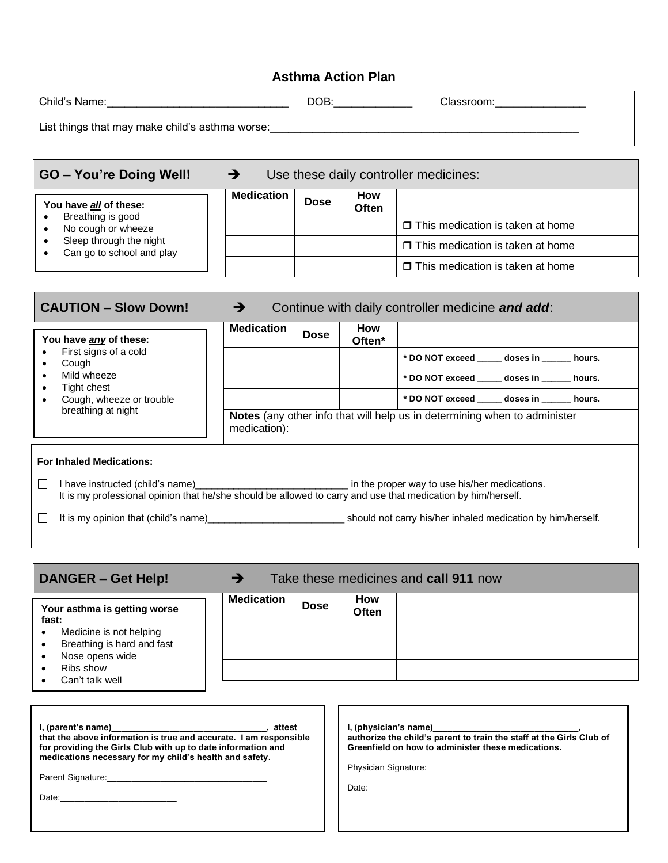## **Asthma Action Plan**

| Child's Name:                                   | DOB: | Classroom: |
|-------------------------------------------------|------|------------|
| List things that may make child's asthma worse: |      |            |

| <b>GO - You're Doing Well!</b>                                                                                            | Use these daily controller medicines: |             |                     |                                         |
|---------------------------------------------------------------------------------------------------------------------------|---------------------------------------|-------------|---------------------|-----------------------------------------|
| You have all of these:<br>Breathing is good<br>No cough or wheeze<br>Sleep through the night<br>Can go to school and play | <b>Medication</b>                     | <b>Dose</b> | <b>How</b><br>Often |                                         |
|                                                                                                                           |                                       |             |                     | $\Box$ This medication is taken at home |
|                                                                                                                           |                                       |             |                     | $\Box$ This medication is taken at home |
|                                                                                                                           |                                       |             |                     | $\Box$ This medication is taken at home |

г

┓

| <b>CAUTION - Slow Down!</b>                                                                                                                                                                              | $\rightarrow$                                                                                                    |             |                                  | Continue with daily controller medicine and add: |
|----------------------------------------------------------------------------------------------------------------------------------------------------------------------------------------------------------|------------------------------------------------------------------------------------------------------------------|-------------|----------------------------------|--------------------------------------------------|
| You have any of these:<br>First signs of a cold<br>Cough<br>٠<br>Mild wheeze<br>$\bullet$<br>Tight chest<br>٠<br>Cough, wheeze or trouble<br>breathing at night                                          | <b>Medication</b>                                                                                                | <b>Dose</b> | <b>How</b><br>Often <sup>*</sup> |                                                  |
|                                                                                                                                                                                                          |                                                                                                                  |             |                                  | * DO NOT exceed ______ doses in _______ hours.   |
|                                                                                                                                                                                                          |                                                                                                                  |             |                                  | * DO NOT exceed doses in hours.                  |
|                                                                                                                                                                                                          |                                                                                                                  |             |                                  | * DO NOT exceed doses in hours.                  |
|                                                                                                                                                                                                          | Notes (any other info that will help us in determining when to administer<br>medication):                        |             |                                  |                                                  |
| <b>For Inhaled Medications:</b>                                                                                                                                                                          |                                                                                                                  |             |                                  |                                                  |
| I have instructed (child's name) in the proper way to use his/her medications.<br>$\Box$<br>It is my professional opinion that he/she should be allowed to carry and use that medication by him/herself. |                                                                                                                  |             |                                  |                                                  |
| $\Box$                                                                                                                                                                                                   | It is my opinion that (child's name) example and the should not carry his/her inhaled medication by him/herself. |             |                                  |                                                  |
|                                                                                                                                                                                                          |                                                                                                                  |             |                                  |                                                  |

| Take these medicines and <b>call 911</b> now<br>$\rightarrow$<br>DANGER – Get Help!                                                                                                                                                                                                                            |                   |             |                            |                                                                                                                                                    |
|----------------------------------------------------------------------------------------------------------------------------------------------------------------------------------------------------------------------------------------------------------------------------------------------------------------|-------------------|-------------|----------------------------|----------------------------------------------------------------------------------------------------------------------------------------------------|
| Your asthma is getting worse<br>fast:<br>Medicine is not helping<br>$\bullet$                                                                                                                                                                                                                                  | <b>Medication</b> | <b>Dose</b> | <b>How</b><br><b>Often</b> |                                                                                                                                                    |
| Breathing is hard and fast<br>$\bullet$<br>Nose opens wide<br>$\bullet$<br>Ribs show<br>$\bullet$<br>Can't talk well<br>$\bullet$                                                                                                                                                                              |                   |             |                            |                                                                                                                                                    |
| that the above information is true and accurate. I am responsible<br>for providing the Girls Club with up to date information and<br>medications necessary for my child's health and safety.<br>Parent Signature: 2004 2006 2010 2010 2021 2022 2023 2024 2022 2023 2024 2022 2023 2024 2022 2023 2024 2022 20 |                   |             |                            | I, (physical's name)<br>authorize the child's parent to train the staff at the Girls Club of<br>Greenfield on how to administer these medications. |